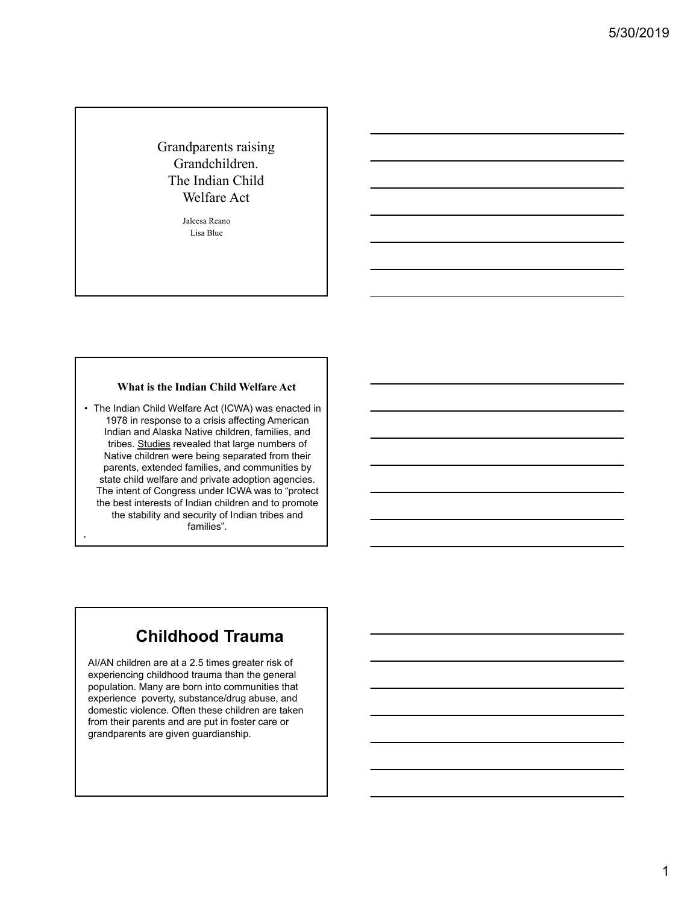Grandparents raising Grandchildren. The Indian Child Welfare Act

> Jaleesa Reano Lisa Blue

#### **What is the Indian Child Welfare Act**

• The Indian Child Welfare Act (ICWA) was enacted in 1978 in response to a crisis affecting American Indian and Alaska Native children, families, and tribes. Studies revealed that large numbers of Native children were being separated from their parents, extended families, and communities by state child welfare and private adoption agencies. The intent of Congress under ICWA was to "protect the best interests of Indian children and to promote the stability and security of Indian tribes and families".

•

# **Childhood Trauma**

AI/AN children are at a 2.5 times greater risk of experiencing childhood trauma than the general population. Many are born into communities that experience poverty, substance/drug abuse, and domestic violence. Often these children are taken from their parents and are put in foster care or grandparents are given guardianship.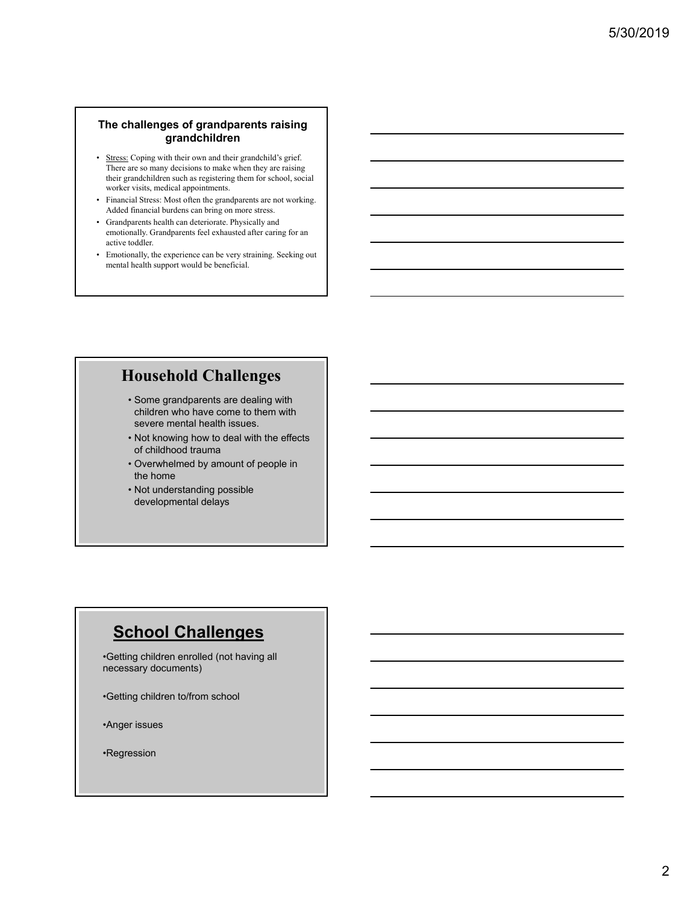### **The challenges of grandparents raising grandchildren**

- Stress: Coping with their own and their grandchild's grief. There are so many decisions to make when they are raising their grandchildren such as registering them for school, social worker visits, medical appointments.
- Financial Stress: Most often the grandparents are not working. Added financial burdens can bring on more stress.
- Grandparents health can deteriorate. Physically and emotionally. Grandparents feel exhausted after caring for an active toddler.
- Emotionally, the experience can be very straining. Seeking out mental health support would be beneficial.

### **Household Challenges**

- Some grandparents are dealing with children who have come to them with severe mental health issues.
- Not knowing how to deal with the effects of childhood trauma
- Overwhelmed by amount of people in the home
- Not understanding possible developmental delays

# **School Challenges**

•Getting children enrolled (not having all necessary documents)

•Getting children to/from school

•Anger issues

•Regression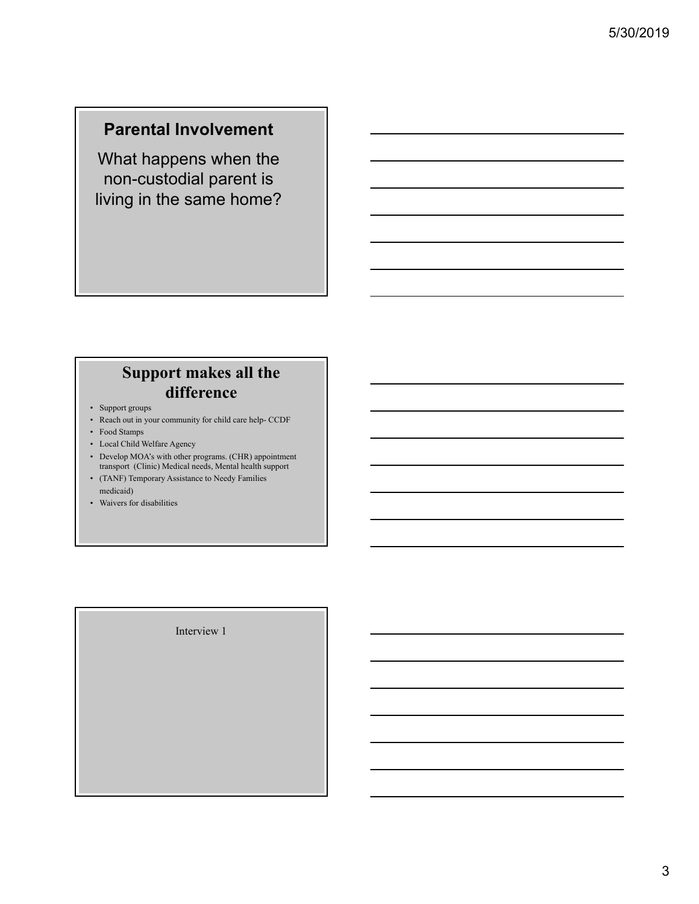# **Parental Involvement**

What happens when the non-custodial parent is living in the same home?

# **Support makes all the difference**

- Support groups
- Reach out in your community for child care help- CCDF
- Food Stamps
- Local Child Welfare Agency
- Develop MOA's with other programs. (CHR) appointment transport (Clinic) Medical needs, Mental health support
- (TANF) Temporary Assistance to Needy Families medicaid)
- Waivers for disabilities

Interview 1